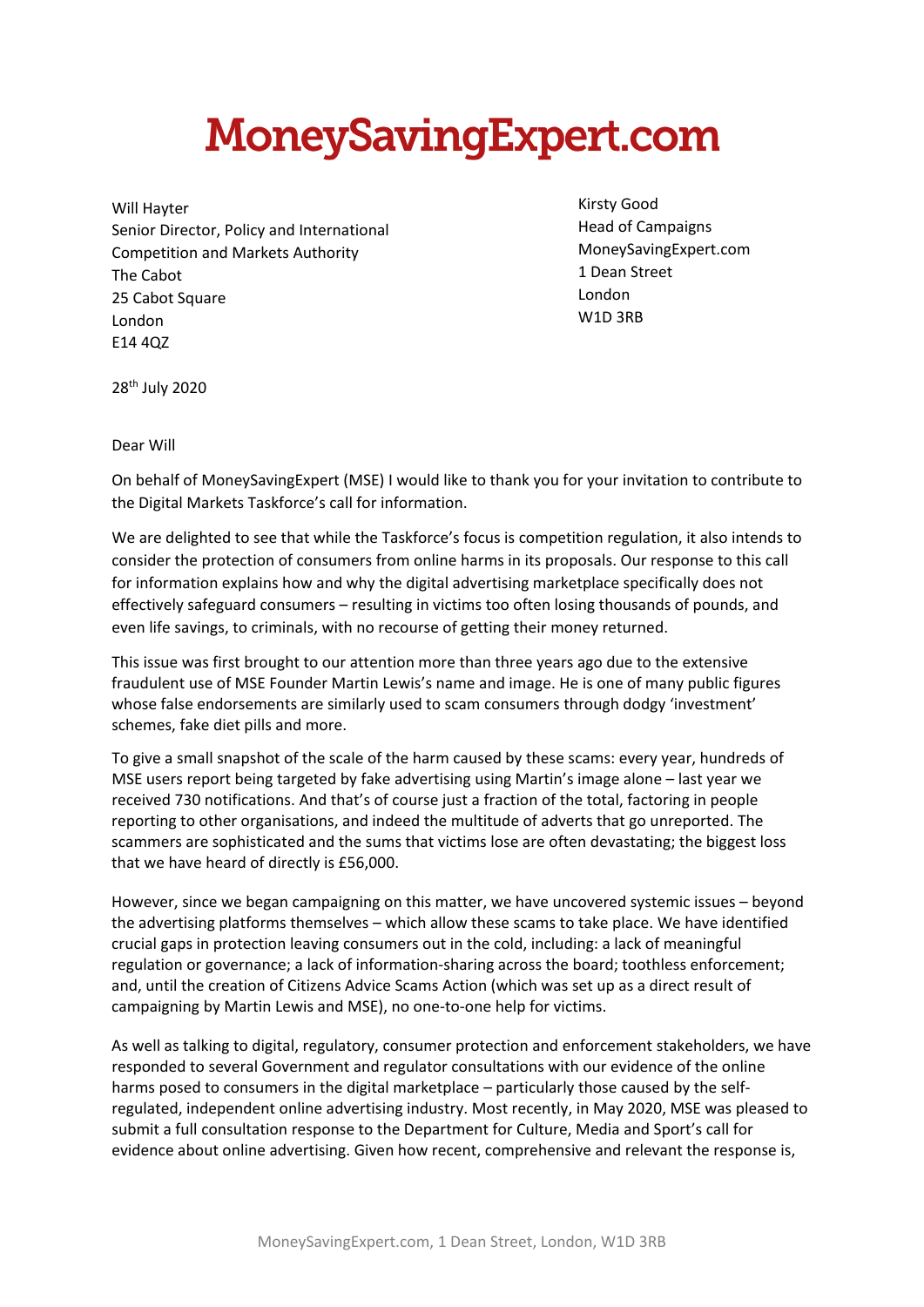## **MoneySavingExpert.com**

Will Hayter Senior Director, Policy and International Competition and Markets Authority The Cabot 25 Cabot Square London E14 4QZ

Kirsty Good Head of Campaigns MoneySavingExpert.com 1 Dean Street London W1D 3RB

28th July 2020

## Dear Will

On behalf of MoneySavingExpert (MSE) I would like to thank you for your invitation to contribute to the Digital Markets Taskforce's call for information.

We are delighted to see that while the Taskforce's focus is competition regulation, it also intends to consider the protection of consumers from online harms in its proposals. Our response to this call for information explains how and why the digital advertising marketplace specifically does not effectively safeguard consumers – resulting in victims too often losing thousands of pounds, and even life savings, to criminals, with no recourse of getting their money returned.

This issue was first brought to our attention more than three years ago due to the extensive fraudulent use of MSE Founder Martin Lewis's name and image. He is one of many public figures whose false endorsements are similarly used to scam consumers through dodgy 'investment' schemes, fake diet pills and more.

To give a small snapshot of the scale of the harm caused by these scams: every year, hundreds of MSE users report being targeted by fake advertising using Martin's image alone – last year we received 730 notifications. And that's of course just a fraction of the total, factoring in people reporting to other organisations, and indeed the multitude of adverts that go unreported. The scammers are sophisticated and the sums that victims lose are often devastating; the biggest loss that we have heard of directly is £56,000.

However, since we began campaigning on this matter, we have uncovered systemic issues – beyond the advertising platforms themselves – which allow these scams to take place. We have identified crucial gaps in protection leaving consumers out in the cold, including: a lack of meaningful regulation or governance; a lack of information-sharing across the board; toothless enforcement; and, until the creation of Citizens Advice Scams Action (which was set up as a direct result of campaigning by Martin Lewis and MSE), no one-to-one help for victims.

As well as talking to digital, regulatory, consumer protection and enforcement stakeholders, we have responded to several Government and regulator consultations with our evidence of the online harms posed to consumers in the digital marketplace – particularly those caused by the selfregulated, independent online advertising industry. Most recently, in May 2020, MSE was pleased to submit a full consultation response to the Department for Culture, Media and Sport's call for evidence about online advertising. Given how recent, comprehensive and relevant the response is,